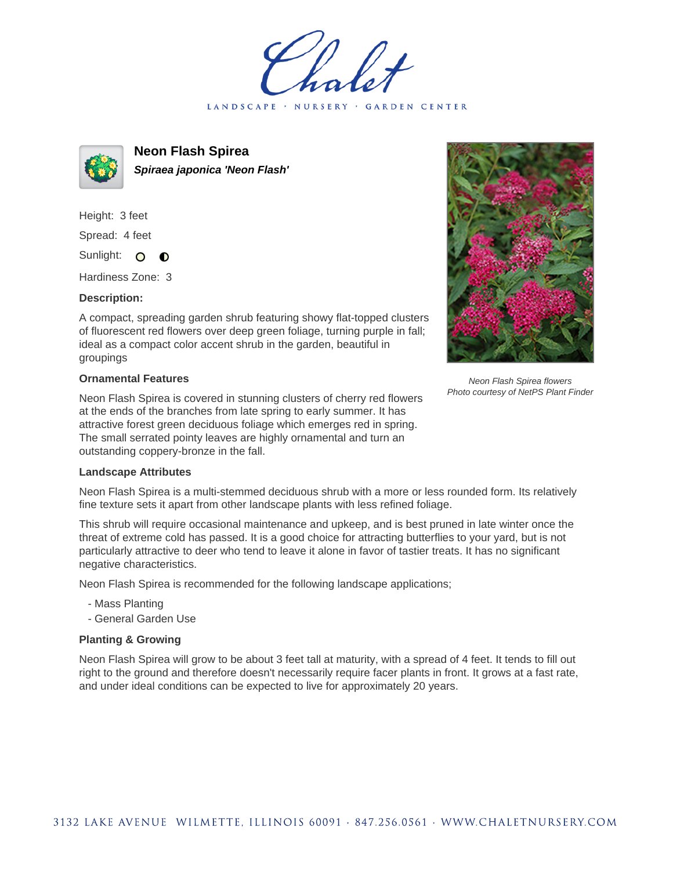LANDSCAPE · NURSERY · GARDEN CENTER



**Neon Flash Spirea Spiraea japonica 'Neon Flash'**

Height: 3 feet Spread: 4 feet Sunlight: O  $\bullet$ 

Hardiness Zone: 3

## **Description:**

A compact, spreading garden shrub featuring showy flat-topped clusters of fluorescent red flowers over deep green foliage, turning purple in fall; ideal as a compact color accent shrub in the garden, beautiful in groupings

## **Ornamental Features**

Neon Flash Spirea is covered in stunning clusters of cherry red flowers at the ends of the branches from late spring to early summer. It has attractive forest green deciduous foliage which emerges red in spring. The small serrated pointy leaves are highly ornamental and turn an outstanding coppery-bronze in the fall.



Neon Flash Spirea flowers Photo courtesy of NetPS Plant Finder

## **Landscape Attributes**

Neon Flash Spirea is a multi-stemmed deciduous shrub with a more or less rounded form. Its relatively fine texture sets it apart from other landscape plants with less refined foliage.

This shrub will require occasional maintenance and upkeep, and is best pruned in late winter once the threat of extreme cold has passed. It is a good choice for attracting butterflies to your yard, but is not particularly attractive to deer who tend to leave it alone in favor of tastier treats. It has no significant negative characteristics.

Neon Flash Spirea is recommended for the following landscape applications;

- Mass Planting
- General Garden Use

## **Planting & Growing**

Neon Flash Spirea will grow to be about 3 feet tall at maturity, with a spread of 4 feet. It tends to fill out right to the ground and therefore doesn't necessarily require facer plants in front. It grows at a fast rate, and under ideal conditions can be expected to live for approximately 20 years.